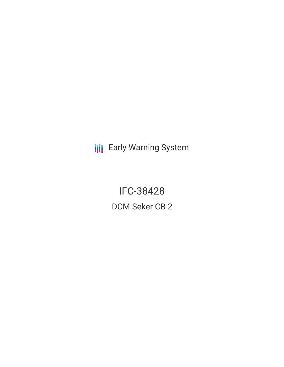**III** Early Warning System

IFC-38428 DCM Seker CB 2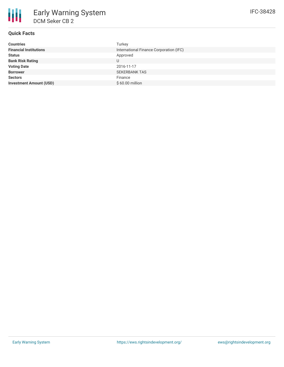### **Quick Facts**

| <b>Countries</b>               | Turkey                                  |
|--------------------------------|-----------------------------------------|
| <b>Financial Institutions</b>  | International Finance Corporation (IFC) |
| <b>Status</b>                  | Approved                                |
| <b>Bank Risk Rating</b>        | U                                       |
| <b>Voting Date</b>             | 2016-11-17                              |
| <b>Borrower</b>                | <b>SEKERBANK TAS</b>                    |
| <b>Sectors</b>                 | Finance                                 |
| <b>Investment Amount (USD)</b> | $$60.00$ million                        |
|                                |                                         |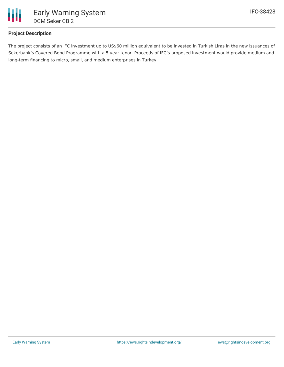

## **Project Description**

The project consists of an IFC investment up to US\$60 million equivalent to be invested in Turkish Liras in the new issuances of Sekerbank's Covered Bond Programme with a 5 year tenor. Proceeds of IFC's proposed investment would provide medium and long-term financing to micro, small, and medium enterprises in Turkey.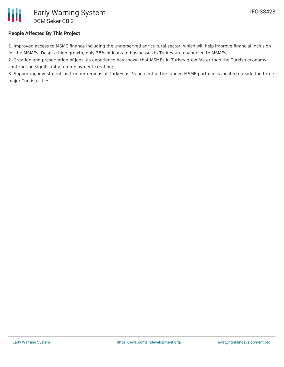## **People Affected By This Project**

1. Improved access to MSME finance including the underserved agricultural sector, which will help improve financial inclusion for the MSMEs. Despite high growth, only 38% of loans to businesses in Turkey are channeled to MSMEs;

2. Creation and preservation of jobs, as experience has shown that MSMEs in Turkey grew faster than the Turkish economy, contributing significantly to employment creation;

3. Supporting investments in frontier regions of Turkey as 75 percent of the funded MSME portfolio is located outside the three major Turkish cities.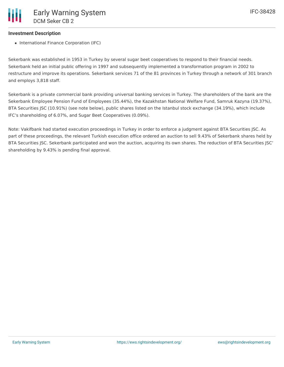### **Investment Description**

• International Finance Corporation (IFC)

Sekerbank was established in 1953 in Turkey by several sugar beet cooperatives to respond to their financial needs. Sekerbank held an initial public offering in 1997 and subsequently implemented a transformation program in 2002 to restructure and improve its operations. Sekerbank services 71 of the 81 provinces in Turkey through a network of 301 branch and employs 3,818 staff.

Sekerbank is a private commercial bank providing universal banking services in Turkey. The shareholders of the bank are the Sekerbank Employee Pension Fund of Employees (35.44%), the Kazakhstan National Welfare Fund, Samruk Kazyna (19.37%), BTA Securities JSC (10.91%) (see note below), public shares listed on the Istanbul stock exchange (34.19%), which include IFC's shareholding of 6.07%, and Sugar Beet Cooperatives (0.09%).

Note: Vakifbank had started execution proceedings in Turkey in order to enforce a judgment against BTA Securities JSC. As part of these proceedings, the relevant Turkish execution office ordered an auction to sell 9.43% of Sekerbank shares held by BTA Securities JSC. Sekerbank participated and won the auction, acquiring its own shares. The reduction of BTA Securities JSC' shareholding by 9.43% is pending final approval.